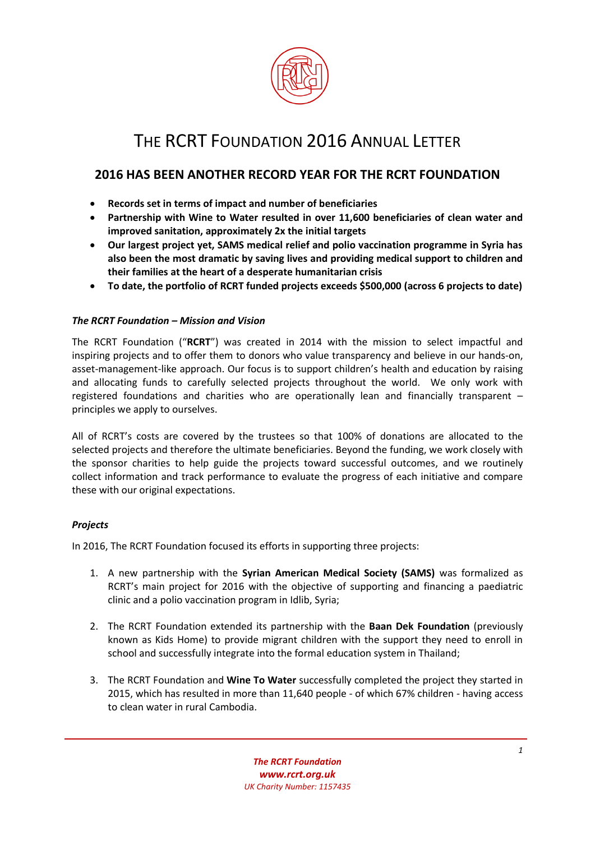

# THE RCRT FOUNDATION 2016 ANNUAL LETTER

# **2016 HAS BEEN ANOTHER RECORD YEAR FOR THE RCRT FOUNDATION**

- **Records set in terms of impact and number of beneficiaries**
- **Partnership with Wine to Water resulted in over 11,600 beneficiaries of clean water and improved sanitation, approximately 2x the initial targets**
- **Our largest project yet, SAMS medical relief and polio vaccination programme in Syria has also been the most dramatic by saving lives and providing medical support to children and their families at the heart of a desperate humanitarian crisis**
- **To date, the portfolio of RCRT funded projects exceeds \$500,000 (across 6 projects to date)**

# *The RCRT Foundation – Mission and Vision*

The RCRT Foundation ("**RCRT**") was created in 2014 with the mission to select impactful and inspiring projects and to offer them to donors who value transparency and believe in our hands-on, asset-management-like approach. Our focus is to support children's health and education by raising and allocating funds to carefully selected projects throughout the world. We only work with registered foundations and charities who are operationally lean and financially transparent – principles we apply to ourselves.

All of RCRT's costs are covered by the trustees so that 100% of donations are allocated to the selected projects and therefore the ultimate beneficiaries. Beyond the funding, we work closely with the sponsor charities to help guide the projects toward successful outcomes, and we routinely collect information and track performance to evaluate the progress of each initiative and compare these with our original expectations.

# *Projects*

In 2016, The RCRT Foundation focused its efforts in supporting three projects:

- 1. A new partnership with the **Syrian American Medical Society (SAMS)** was formalized as RCRT's main project for 2016 with the objective of supporting and financing a paediatric clinic and a polio vaccination program in Idlib, Syria;
- 2. The RCRT Foundation extended its partnership with the **Baan Dek Foundation** (previously known as Kids Home) to provide migrant children with the support they need to enroll in school and successfully integrate into the formal education system in Thailand;
- 3. The RCRT Foundation and **Wine To Water** successfully completed the project they started in 2015, which has resulted in more than 11,640 people - of which 67% children - having access to clean water in rural Cambodia.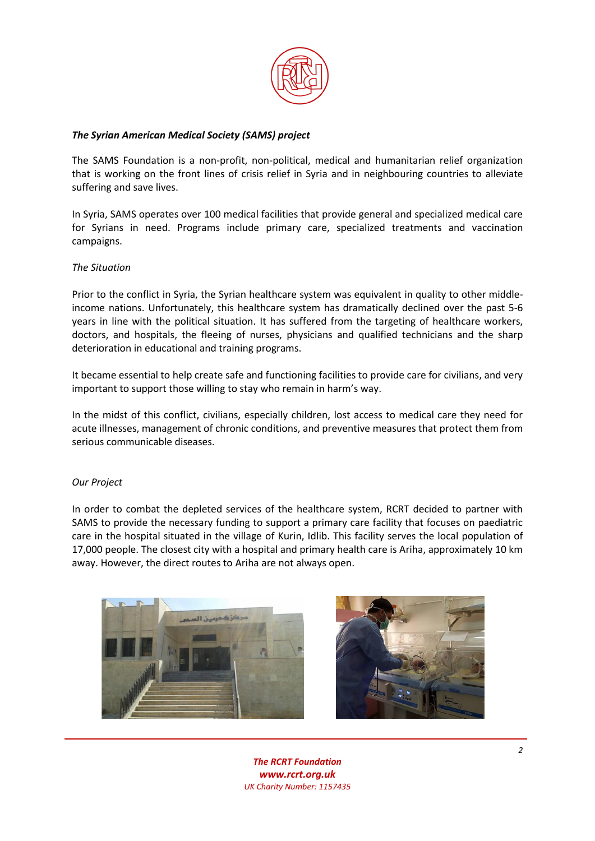

### *The Syrian American Medical Society (SAMS) project*

The SAMS Foundation is a non-profit, non-political, medical and humanitarian relief organization that is working on the front lines of crisis relief in Syria and in neighbouring countries to alleviate suffering and save lives.

In Syria, SAMS operates over 100 medical facilities that provide general and specialized medical care for Syrians in need. Programs include primary care, specialized treatments and vaccination campaigns.

#### *The Situation*

Prior to the conflict in Syria, the Syrian healthcare system was equivalent in quality to other middleincome nations. Unfortunately, this healthcare system has dramatically declined over the past 5-6 years in line with the political situation. It has suffered from the targeting of healthcare workers, doctors, and hospitals, the fleeing of nurses, physicians and qualified technicians and the sharp deterioration in educational and training programs.

It became essential to help create safe and functioning facilities to provide care for civilians, and very important to support those willing to stay who remain in harm's way.

In the midst of this conflict, civilians, especially children, lost access to medical care they need for acute illnesses, management of chronic conditions, and preventive measures that protect them from serious communicable diseases.

#### *Our Project*

In order to combat the depleted services of the healthcare system, RCRT decided to partner with SAMS to provide the necessary funding to support a primary care facility that focuses on paediatric care in the hospital situated in the village of Kurin, Idlib. This facility serves the local population of 17,000 people. The closest city with a hospital and primary health care is Ariha, approximately 10 km away. However, the direct routes to Ariha are not always open.





*The RCRT Foundation [www.rcrt.org.uk](http://www.rcrt.org.uk/) UK Charity Number[: 1157435](http://apps.charitycommission.gov.uk/Showcharity/RegisterOfCharities/SearchResultHandler.aspx?RegisteredCharityNumber=1157435)*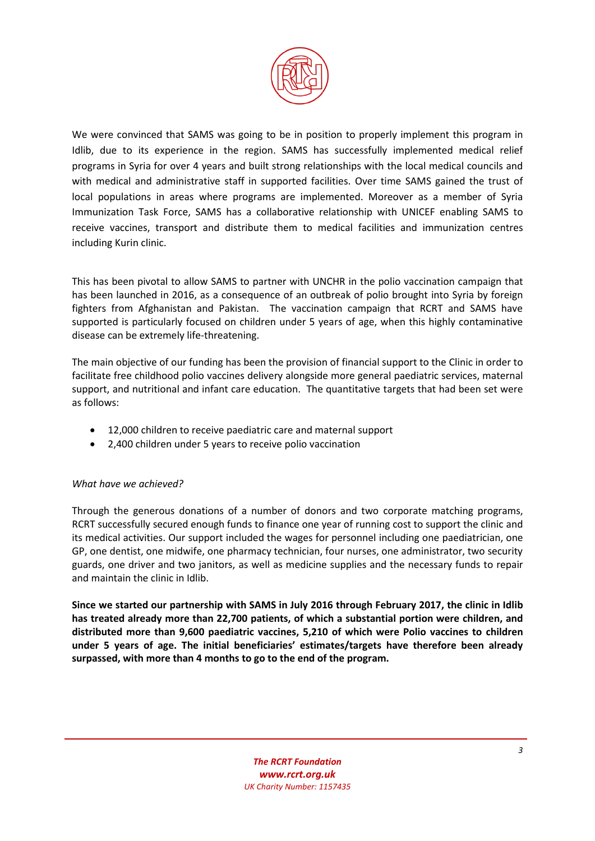

We were convinced that SAMS was going to be in position to properly implement this program in Idlib, due to its experience in the region. SAMS has successfully implemented medical relief programs in Syria for over 4 years and built strong relationships with the local medical councils and with medical and administrative staff in supported facilities. Over time SAMS gained the trust of local populations in areas where programs are implemented. Moreover as a member of Syria Immunization Task Force, SAMS has a collaborative relationship with UNICEF enabling SAMS to receive vaccines, transport and distribute them to medical facilities and immunization centres including Kurin clinic.

This has been pivotal to allow SAMS to partner with UNCHR in the polio vaccination campaign that has been launched in 2016, as a consequence of an outbreak of polio brought into Syria by foreign fighters from Afghanistan and Pakistan. The vaccination campaign that RCRT and SAMS have supported is particularly focused on children under 5 years of age, when this highly contaminative disease can be extremely life-threatening.

The main objective of our funding has been the provision of financial support to the Clinic in order to facilitate free childhood polio vaccines delivery alongside more general paediatric services, maternal support, and nutritional and infant care education. The quantitative targets that had been set were as follows:

- 12,000 children to receive paediatric care and maternal support
- 2,400 children under 5 years to receive polio vaccination

# *What have we achieved?*

Through the generous donations of a number of donors and two corporate matching programs, RCRT successfully secured enough funds to finance one year of running cost to support the clinic and its medical activities. Our support included the wages for personnel including one paediatrician, one GP, one dentist, one midwife, one pharmacy technician, four nurses, one administrator, two security guards, one driver and two janitors, as well as medicine supplies and the necessary funds to repair and maintain the clinic in Idlib.

**Since we started our partnership with SAMS in July 2016 through February 2017, the clinic in Idlib has treated already more than 22,700 patients, of which a substantial portion were children, and distributed more than 9,600 paediatric vaccines, 5,210 of which were Polio vaccines to children under 5 years of age. The initial beneficiaries' estimates/targets have therefore been already surpassed, with more than 4 months to go to the end of the program.**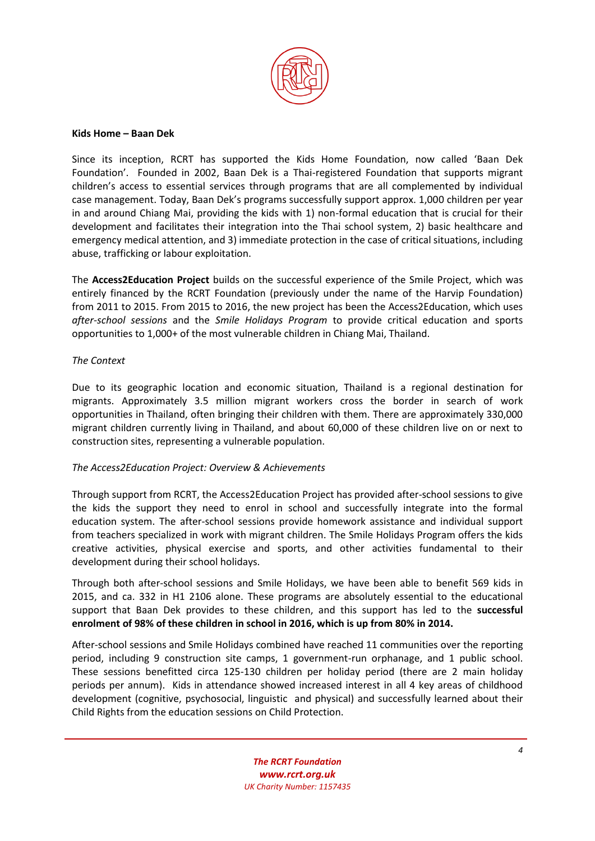

#### **Kids Home – Baan Dek**

Since its inception, RCRT has supported the Kids Home Foundation, now called 'Baan Dek Foundation'. Founded in 2002, Baan Dek is a Thai-registered Foundation that supports migrant children's access to essential services through programs that are all complemented by individual case management. Today, Baan Dek's programs successfully support approx. 1,000 children per year in and around Chiang Mai, providing the kids with 1) non-formal education that is crucial for their development and facilitates their integration into the Thai school system, 2) basic healthcare and emergency medical attention, and 3) immediate protection in the case of critical situations, including abuse, trafficking or labour exploitation.

The **Access2Education Project** builds on the successful experience of the Smile Project, which was entirely financed by the RCRT Foundation (previously under the name of the Harvip Foundation) from 2011 to 2015. From 2015 to 2016, the new project has been the Access2Education, which uses *after-school sessions* and the *Smile Holidays Program* to provide critical education and sports opportunities to 1,000+ of the most vulnerable children in Chiang Mai, Thailand.

#### *The Context*

Due to its geographic location and economic situation, Thailand is a regional destination for migrants. Approximately 3.5 million migrant workers cross the border in search of work opportunities in Thailand, often bringing their children with them. There are approximately 330,000 migrant children currently living in Thailand, and about 60,000 of these children live on or next to construction sites, representing a vulnerable population.

#### *The Access2Education Project: Overview & Achievements*

Through support from RCRT, the Access2Education Project has provided after-school sessions to give the kids the support they need to enrol in school and successfully integrate into the formal education system. The after-school sessions provide homework assistance and individual support from teachers specialized in work with migrant children. The Smile Holidays Program offers the kids creative activities, physical exercise and sports, and other activities fundamental to their development during their school holidays.

Through both after-school sessions and Smile Holidays, we have been able to benefit 569 kids in 2015, and ca. 332 in H1 2106 alone. These programs are absolutely essential to the educational support that Baan Dek provides to these children, and this support has led to the **successful enrolment of 98% of these children in school in 2016, which is up from 80% in 2014.**

After-school sessions and Smile Holidays combined have reached 11 communities over the reporting period, including 9 construction site camps, 1 government-run orphanage, and 1 public school. These sessions benefitted circa 125-130 children per holiday period (there are 2 main holiday periods per annum). Kids in attendance showed increased interest in all 4 key areas of childhood development (cognitive, psychosocial, linguistic and physical) and successfully learned about their Child Rights from the education sessions on Child Protection.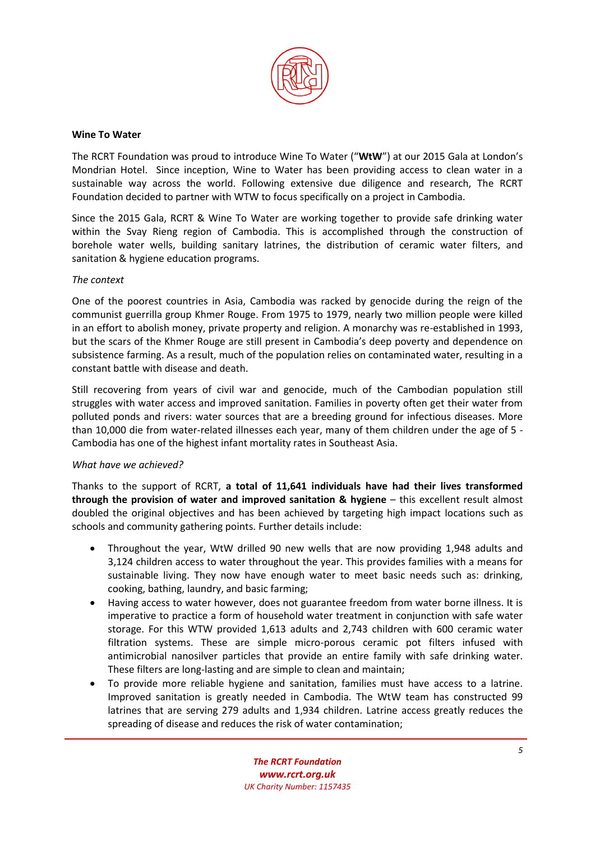

#### **Wine To Water**

The RCRT Foundation was proud to introduce Wine To Water ("**WtW**") at our 2015 Gala at London's Mondrian Hotel. Since inception, Wine to Water has been providing access to clean water in a sustainable way across the world. Following extensive due diligence and research, The RCRT Foundation decided to partner with WTW to focus specifically on a project in Cambodia.

Since the 2015 Gala, RCRT & Wine To Water are working together to provide safe drinking water within the Svay Rieng region of Cambodia. This is accomplished through the construction of borehole water wells, building sanitary latrines, the distribution of ceramic water filters, and sanitation & hygiene education programs.

#### *The context*

One of the poorest countries in Asia, Cambodia was racked by genocide during the reign of the communist guerrilla group Khmer Rouge. From 1975 to 1979, nearly two million people were killed in an effort to abolish money, private property and religion. A monarchy was re-established in 1993, but the scars of the Khmer Rouge are still present in Cambodia's deep poverty and dependence on subsistence farming. As a result, much of the population relies on contaminated water, resulting in a constant battle with disease and death.

Still recovering from years of civil war and genocide, much of the Cambodian population still struggles with water access and improved sanitation. Families in poverty often get their water from polluted ponds and rivers: water sources that are a breeding ground for infectious diseases. More than 10,000 die from water-related illnesses each year, many of them children under the age of 5 - Cambodia has one of the highest infant mortality rates in Southeast Asia.

#### *What have we achieved?*

Thanks to the support of RCRT, **a total of 11,641 individuals have had their lives transformed through the provision of water and improved sanitation & hygiene** – this excellent result almost doubled the original objectives and has been achieved by targeting high impact locations such as schools and community gathering points. Further details include:

- Throughout the year, WtW drilled 90 new wells that are now providing 1,948 adults and 3,124 children access to water throughout the year. This provides families with a means for sustainable living. They now have enough water to meet basic needs such as: drinking, cooking, bathing, laundry, and basic farming;
- Having access to water however, does not guarantee freedom from water borne illness. It is imperative to practice a form of household water treatment in conjunction with safe water storage. For this WTW provided 1,613 adults and 2,743 children with 600 ceramic water filtration systems. These are simple micro-porous ceramic pot filters infused with antimicrobial nanosilver particles that provide an entire family with safe drinking water. These filters are long-lasting and are simple to clean and maintain;
- To provide more reliable hygiene and sanitation, families must have access to a latrine. Improved sanitation is greatly needed in Cambodia. The WtW team has constructed 99 latrines that are serving 279 adults and 1,934 children. Latrine access greatly reduces the spreading of disease and reduces the risk of water contamination;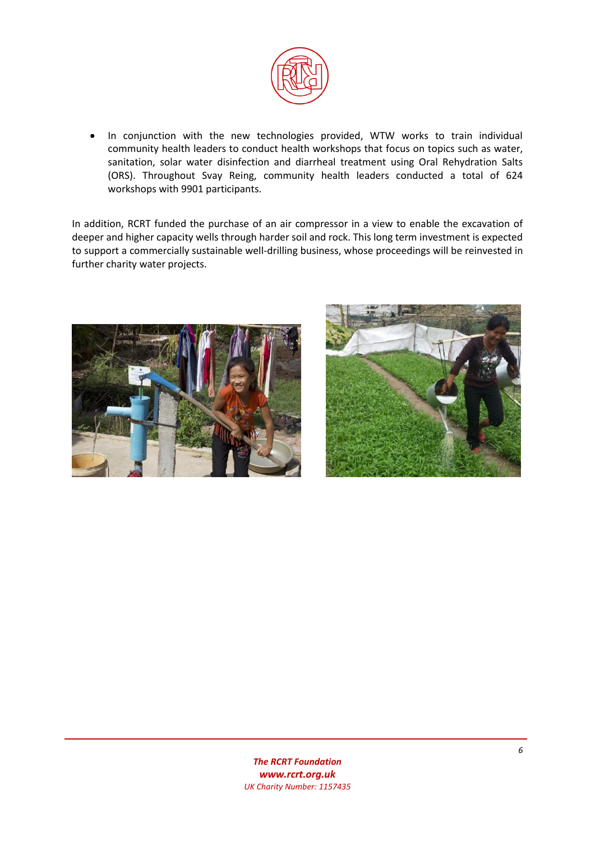

 In conjunction with the new technologies provided, WTW works to train individual community health leaders to conduct health workshops that focus on topics such as water, sanitation, solar water disinfection and diarrheal treatment using Oral Rehydration Salts (ORS). Throughout Svay Reing, community health leaders conducted a total of 624 workshops with 9901 participants.

In addition, RCRT funded the purchase of an air compressor in a view to enable the excavation of deeper and higher capacity wells through harder soil and rock. This long term investment is expected to support a commercially sustainable well-drilling business, whose proceedings will be reinvested in further charity water projects.



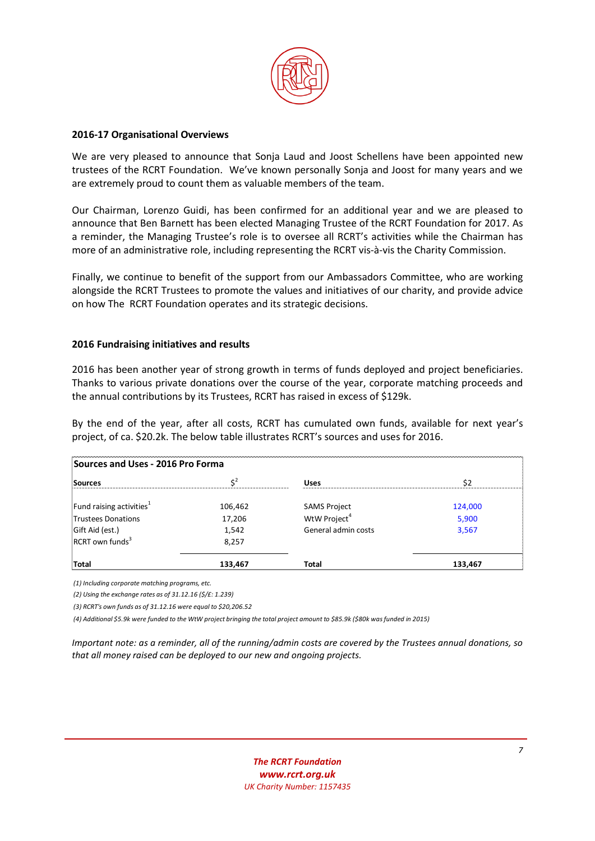

#### **2016-17 Organisational Overviews**

We are very pleased to announce that Sonja Laud and Joost Schellens have been appointed new trustees of the RCRT Foundation. We've known personally Sonja and Joost for many years and we are extremely proud to count them as valuable members of the team.

Our Chairman, Lorenzo Guidi, has been confirmed for an additional year and we are pleased to announce that Ben Barnett has been elected Managing Trustee of the RCRT Foundation for 2017. As a reminder, the Managing Trustee's role is to oversee all RCRT's activities while the Chairman has more of an administrative role, including representing the RCRT vis-à-vis the Charity Commission.

Finally, we continue to benefit of the support from our Ambassadors Committee, who are working alongside the RCRT Trustees to promote the values and initiatives of our charity, and provide advice on how The RCRT Foundation operates and its strategic decisions.

#### **2016 Fundraising initiatives and results**

2016 has been another year of strong growth in terms of funds deployed and project beneficiaries. Thanks to various private donations over the course of the year, corporate matching proceeds and the annual contributions by its Trustees, RCRT has raised in excess of \$129k.

By the end of the year, after all costs, RCRT has cumulated own funds, available for next year's project, of ca. \$20.2k. The below table illustrates RCRT's sources and uses for 2016.

| Sources and Uses - 2016 Pro Forma              |         |                          |         |
|------------------------------------------------|---------|--------------------------|---------|
| Sources                                        |         | <b>Uses</b>              | Ś2      |
| Fund raising activities $1$                    | 106,462 | <b>SAMS Project</b>      | 124,000 |
| Trustees Donations                             | 17,206  | WtW Project <sup>4</sup> | 5,900   |
|                                                | 1,542   | General admin costs      | 3,567   |
| Gift Aid (est.)<br>RCRT own funds <sup>3</sup> | 8.257   |                          |         |
| Total                                          | 133,467 | Total                    | 133,467 |

*(1) Including corporate matching programs, etc.*

*(2) Using the exchange rates as of 31.12.16 (\$/£: 1.239)*

*(3) RCRT's own funds as of 31.12.16 were equal to \$20,206.52*

*(4) Additional \$5.9k were funded to the WtW project bringing the total project amount to \$85.9k (\$80k was funded in 2015)*

*Important note: as a reminder, all of the running/admin costs are covered by the Trustees annual donations, so that all money raised can be deployed to our new and ongoing projects.*